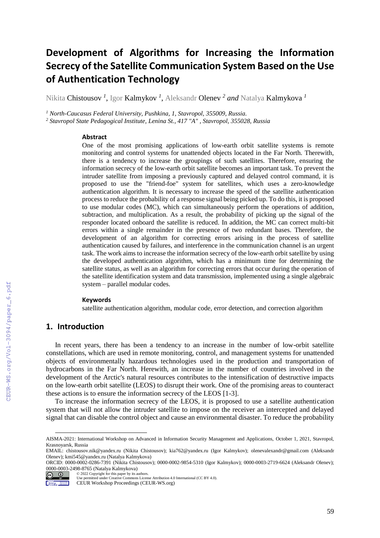# **Development of Algorithms for Increasing the Information Secrecy of the Satellite Communication System Based on the Use of Authentication Technology**

Nikita Chistousov *<sup>1</sup>* , Igor Kalmykov *<sup>1</sup>* , Aleksandr Olenev *<sup>2</sup> and* Natalya Kalmykova *<sup>1</sup>*

*<sup>1</sup> North-Caucasus Federal University, Pushkina, 1, Stavropol, 355009, Russia.* 

*<sup>2</sup> Stavropol State Pedagogical Institute, Lenina St., 417 "A" , Stavropol, 355028, Russia* 

#### **Abstract**

One of the most promising applications of low-earth orbit satellite systems is remote monitoring and control systems for unattended objects located in the Far North. Therewith, there is a tendency to increase the groupings of such satellites. Therefore, ensuring the information secrecy of the low-earth orbit satellite becomes an important task. To prevent the intruder satellite from imposing a previously captured and delayed control command, it is proposed to use the "friend-foe" system for satellites, which uses a zero-knowledge authentication algorithm. It is necessary to increase the speed of the satellite authentication process to reduce the probability of a response signal being picked up. To do this, it is proposed to use modular codes (MC), which can simultaneously perform the operations of addition, subtraction, and multiplication. As a result, the probability of picking up the signal of the responder located onboard the satellite is reduced. In addition, the MC can correct multi-bit errors within a single remainder in the presence of two redundant bases. Therefore, the development of an algorithm for correcting errors arising in the process of satellite authentication caused by failures, and interference in the communication channel is an urgent task. The work aims to increase the information secrecy of the low-earth orbit satellite by using the developed authentication algorithm, which has a minimum time for determining the satellite status, as well as an algorithm for correcting errors that occur during the operation of the satellite identification system and data transmission, implemented using a single algebraic system – parallel modular codes.

#### **Keywords**

satellite authentication algorithm, modular code, error detection, and correction algorithm

# **1. Introduction**

 $\overline{a}$ 

In recent years, there has been a tendency to an increase in the number of low-orbit satellite constellations, which are used in remote monitoring, control, and management systems for unattended objects of environmentally hazardous technologies used in the production and transportation of hydrocarbons in the Far North. Herewith, an increase in the number of countries involved in the development of the Arctic's natural resources contributes to the intensification of destructive impacts on the low-earth orbit satellite (LEOS) to disrupt their work. One of the promising areas to counteract these actions is to ensure the information secrecy of the LEOS [1-3].

To increase the information secrecy of the LEOS, it is proposed to use a satellite authentication system that will not allow the intruder satellite to impose on the receiver an intercepted and delayed signal that can disable the control object and cause an environmental disaster. To reduce the probability

© 2022 Copyright for this paper by its authors.  $\boxed{6}$  0

AISMA-2021: International Workshop on Advanced in Information Security Management and Applications, October 1, 2021, Stavropol, Krasnoyarsk, Russia

EMAIL: chistousov.nik@yandex.ru (Nikita Chistousov); [kia762@yandex.ru](mailto:kia762@yandex.ru) (Igor Kalmykov); [olenevalexandr@gmail.com](mailto:olenevalexandr@gmail.com) (Aleksandr Olenev); [kmi545@yandex.ru](mailto:kmi545@yandex.ru) (Natalya Kalmykova)

ORCID: 0000-0002-0286-7391 (Nikita Chistousov); 0000-0002-9854-5310 (Igor Kalmykov); 0000-0003-2719-6624 (Aleksandr Olenev); 0000-0003-2498-8765 (Natalya Kalmykova)

Use permitted under Creative Commons License Attribution 4.0 International (CC BY 4.0).

Workshop Motorsom CEUR Workshop Proceedings (CEUR-WS.org)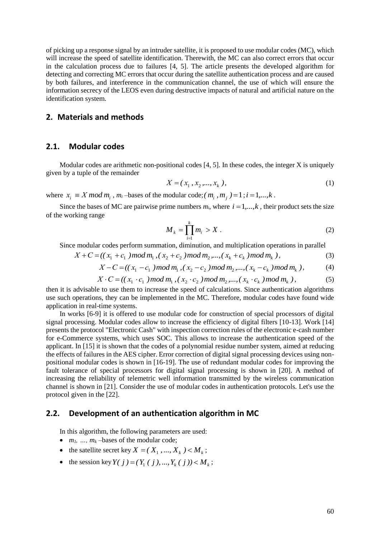of picking up a response signal by an intruder satellite, it is proposed to use modular codes (MC), which will increase the speed of satellite identification. Therewith, the MC can also correct errors that occur in the calculation process due to failures [4, 5]. The article presents the developed algorithm for detecting and correcting MC errors that occur during the satellite authentication process and are caused by both failures, and interference in the communication channel, the use of which will ensure the information secrecy of the LEOS even during destructive impacts of natural and artificial nature on the identification system.

## **2. Materials and methods**

#### **2.1. Modular codes**

Modular codes are arithmetic non-positional codes  $[4, 5]$ . In these codes, the integer X is uniquely given by a tuple of the remainder

$$
X = (x_1, x_2, \dots, x_k),
$$
 (1)

where  $x_i \equiv X \mod m_i$ ,  $m_i$ -bases of the modular code;  $(m_i, m_j) = 1$ ;  $i = 1,...,k$ .

Since the bases of MC are pairwise prime numbers  $m_i$ , where  $i = 1, \ldots, k$ , their product sets the size of the working range

$$
M_k = \prod_{i=1}^k m_i > X \tag{2}
$$

Since modular codes perform summation, diminution, and multiplication operations in parallel

$$
X + C = ((x_1 + c_1) \mod m_1, (x_2 + c_2) \mod m_2, ..., (x_k + c_k) \mod m_k),
$$
\n(3)

$$
X - C = ((x_1 - c_1) \mod m_1, (x_2 - c_2) \mod m_2, ..., (x_k - c_k) \mod m_k),
$$
 (4)

$$
X \cdot C = ((x_1 \cdot c_1) \mod m_1, (x_2 \cdot c_2) \mod m_2, ..., (x_k \cdot c_k) \mod m_k),
$$
 (5)

then it is advisable to use them to increase the speed of calculations. Since authentication algorithms use such operations, they can be implemented in the MC. Therefore, modular codes have found wide application in real-time systems.

In works [6-9] it is offered to use modular code for construction of special processors of digital signal processing. Modular codes allow to increase the efficiency of digital filters [10-13]. Work [14] presents the protocol "Electronic Cash" with inspection correction rules of the electronic e-cash number for e-Commerce systems, which uses SOC. This allows to increase the authentication speed of the applicant. In [15] it is shown that the codes of a polynomial residue number system, aimed at reducing the effects of failures in the AES cipher. Error correction of digital signal processing devices using nonpositional modular codes is shown in [16-19]. The use of redundant modular codes for improving the fault tolerance of special processors for digital signal processing is shown in [20]. A method of increasing the reliability of telemetric well information transmitted by the wireless communication channel is shown in [21]. Consider the use of modular codes in authentication protocols. Let's use the protocol given in the [22].

### **2.2. Development of an authentication algorithm in MC**

In this algorithm, the following parameters are used:

- $m_1, \ldots, m_k$  –bases of the modular code;
- the satellite secret key  $X = (X_1, ..., X_k) < M_k$ ;
- the session key  $Y(j) = (Y_1(j), ..., Y_k(j)) < M_k$ ;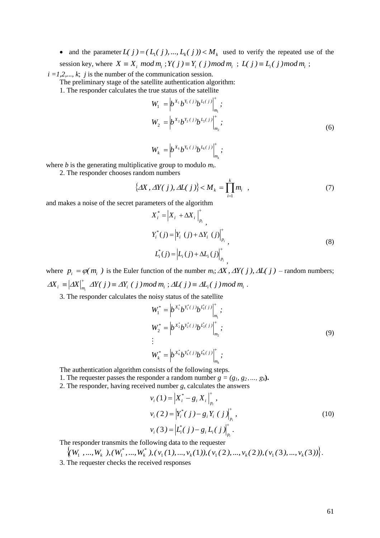• and the parameter  $L(j) = (L_1(j), ..., L_k(j)) < M_k$  used to verify the repeated use of the session key, where  $X \equiv X_i \mod m_i$ ;  $Y(j) \equiv Y_i (j) \mod m_i$ ;  $L(j) \equiv L_i (j) \mod m_i$ ;

 $i = 1, 2, \ldots, k$ ; *j* is the number of the communication session.

The preliminary stage of the satellite authentication algorithm:

1. The responder calculates the true status of the satellite

$$
W_1 = \left| b^{X_1} b^{Y_1(j)} b^{L_1(j)} \right|_{m_1}^{\dagger};
$$
  
\n
$$
W_2 = \left| b^{X_2} b^{Y_2(j)} b^{L_2(j)} \right|_{m_2}^{\dagger};
$$
\n(6)

$$
W_k = \left| b^{X_k} b^{Y_k(j)} b^{L_k(j)} \right|_{m_k}^{\dagger};
$$

where *b* is the generating multiplicative group to modulo *mi*.

2. The responder chooses random numbers

$$
\left\{AX, \Delta Y(j), \Delta L(j)\right\} < M_k = \prod_{i=1}^k m_i \quad , \tag{7}
$$

and makes a noise of the secret parameters of the algorithm

$$
X_{i}^{*} = |X_{i} + \Delta X_{i}|_{p_{i}}^{+},
$$
  
\n
$$
Y_{i}^{*}(j) = |Y_{i}(j) + \Delta Y_{i}(j)|_{p_{i}}^{+},
$$
  
\n
$$
L_{i}^{*}(j) = |L_{i}(j) + \Delta L_{i}(j)|_{p_{i}}^{+},
$$
\n(8)

where  $p_i = \varphi(m_i)$  is the Euler function of the number  $m_i$ ;  $\Delta X$ ,  $\Delta Y(j)$ ,  $\Delta L(j)$  – random numbers;  $\Delta X_i \equiv \Big|\Delta X\Big|_{m_i}^*$   $\Delta Y(\,j\,) \equiv \Delta Y_i$  (  $j\,)$  mod  $m_i$  ;  $\Delta L(\,j\,) \equiv \Delta L_i(\,j\,)$  mod  $m_i$  .

3. The responder calculates the noisy status of the satellite

$$
W_1^* = \left| b^{X_1^*} b^{Y_1^*(j)} b^{L_1^*(j)} \right|_{m_1}^+, \nW_2^* = \left| b^{X_2^*} b^{Y_2^*(j)} b^{L_2^*(j)} \right|_{m_2}^+, \n\vdots \nW_k^* = \left| b^{X_k^*} b^{Y_k^*(j)} b^{L_k^*(j)} \right|_{m_k}^+,
$$
\n(9)

The authentication algorithm consists of the following steps.

1. The requester passes the responder a random number  $g = (g_1, g_2, \ldots, g_k)$ .

2. The responder, having received number *g*, calculates the answers

$$
v_i(1) = \left| X_i^* - g_i X_i \right|_{p_i}^*,
$$
  
\n
$$
v_i(2) = \left| Y_i^*(j) - g_i Y_i (j) \right|_{p_i}^*,
$$
  
\n
$$
v_i(3) = \left| L_i^*(j) - g_i L_i (j) \right|_{p_i}^*.
$$
\n(10)

The responder transmits the following data to the requester

$$
\left\{ (W_1, ..., W_k), (W_1^*, ..., W_k^*), (\nu_1(1), ..., \nu_k(1)), (\nu_1(2), ..., \nu_k(2)), (\nu_1(3), ..., \nu_k(3)) \right\}.
$$

3. The requester checks the received responses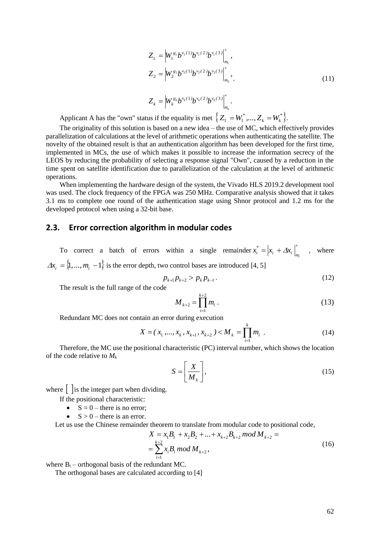$$
Z_{1} = \left| W_{1}^{g_{1}} b^{v_{1}(1)} b^{v_{1}(2)} b^{v_{1}(3)} \right|_{m_{1}}^{+},
$$
  
\n
$$
Z_{2} = \left| W_{2}^{g_{2}} b^{v_{2}(1)} b^{v_{2}(2)} b^{v_{2}(3)} \right|_{m_{2}}^{+},
$$
  
\n
$$
Z_{k} = \left| W_{k}^{g_{k}} b^{v_{k}(1)} b^{v_{k}(2)} b^{v_{k}(3)} \right|^{+}.
$$
\n(11)

*k*

*m*

Applicant A has the "own" status if the equality is met  $\{Z_1 = W_1^*,..., Z_k = W_k^*\}.$  $k - r_k$  $Z_1 = W_1^*,..., Z_k = W_k^*$ .

 $k = |Vk|$ 

The originality of this solution is based on a new idea – the use of MC, which effectively provides parallelization of calculations at the level of arithmetic operations when authenticating the satellite. The novelty of the obtained result is that an authentication algorithm has been developed for the first time, implemented in MCs, the use of which makes it possible to increase the information secrecy of the LEOS by reducing the probability of selecting a response signal "Own", caused by a reduction in the time spent on satellite identification due to parallelization of the calculation at the level of arithmetic operations.

 $Z_k = |W_k^{g_k}b^{v_k(1)}b^{v_k(2)}b^{v_k(3)}|$ .

 $k \, h^{\nu_k (1)} h^{\nu_k (2)} h^{\nu_k}$ 

 $g_k$  *l*  $v_k(1)$  *l*  $v_k(2)$  *l*  $v_k(3)$ 

When implementing the hardware design of the system, the Vivado HLS 2019.2 development tool was used. The clock frequency of the FPGA was 250 MHz. Comparative analysis showed that it takes 3.1 ms to complete one round of the authentication stage using Shnor protocol and 1.2 ms for the developed protocol when using a 32-bit base.

#### **2.3. Error correction algorithm in modular codes**

To correct a batch of errors within a single remainder  $x_i^* = |x_i + \Delta x_i|_{m_i}$ *\**  $x_i^* = |x_i + \Delta x_i|$ , where  $\Delta x_i = \{1, ..., m_i - 1\}$  is the error depth, two control bases are introduced [4, 5]

$$
p_{k+1}p_{k+2} > p_k p_{k-1} \tag{12}
$$

The result is the full range of the code

$$
M_{k+2} = \prod_{i=1}^{k+2} m_i \,. \tag{13}
$$

Redundant MC does not contain an error during execution

$$
X = (x_1, \dots, x_k, x_{k+1}, x_{k+2}) < M_k = \prod_{i=1}^k m_i \tag{14}
$$

Therefore, the MC use the positional characteristic (PC) interval number, which shows the location of the code relative to *M<sup>k</sup>*

$$
S = \left[\frac{X}{M_k}\right],\tag{15}
$$

where  $\int$  is the integer part when dividing.

If the positional characteristic:

- $S = 0$  there is no error;
- $S > 0$  there is an error.

Let us use the Chinese remainder theorem to translate from modular code to positional code,

$$
X = x_1 B_1 + x_2 B_2 + \dots + x_{k+2} B_{k+2} \mod M_{k+2} =
$$
  
= 
$$
\sum_{i=1}^{k+2} x_i B_i \mod M_{k+2},
$$
 (16)

where  $B_i$  – orthogonal basis of the redundant MC.

The orthogonal bases are calculated according to [4]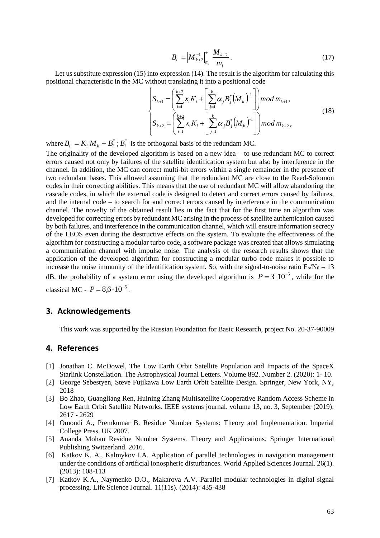$$
B_i = \left| M_{k+2}^{-1} \right|_{m_i}^{+} \frac{M_{k+2}}{m_i} \,. \tag{17}
$$

Let us substitute expression (15) into expression (14). The result is the algorithm for calculating this positional characteristic in the MC without translating it into a positional code

$$
\begin{cases}\nS_{k+1} = \left(\sum_{i=1}^{k+2} x_i K_i + \left[\sum_{j=1}^{k} \alpha_j B_j^* (M_k)^{-1}\right]\right) \mod m_{k+1}, \\
S_{k+2} = \left(\sum_{i=1}^{k+2} x_i K_i + \left[\sum_{j=1}^{k} \alpha_j B_j^* (M_k)^{-1}\right]\right) \mod m_{k+2},\n\end{cases} (18)
$$

where  $B_i = K_i M_k + B_i^*$ ;  $B_i^*$  is the orthogonal basis of the redundant MC.

The originality of the developed algorithm is based on a new idea – to use redundant MC to correct errors caused not only by failures of the satellite identification system but also by interference in the channel. In addition, the MC can correct multi-bit errors within a single remainder in the presence of two redundant bases. This allowed assuming that the redundant MC are close to the Reed-Solomon codes in their correcting abilities. This means that the use of redundant MC will allow abandoning the cascade codes, in which the external code is designed to detect and correct errors caused by failures, and the internal code – to search for and correct errors caused by interference in the communication channel. The novelty of the obtained result lies in the fact that for the first time an algorithm was developed for correcting errors by redundant MC arising in the process of satellite authentication caused by both failures, and interference in the communication channel, which will ensure information secrecy of the LEOS even during the destructive effects on the system. To evaluate the effectiveness of the algorithm for constructing a modular turbo code, a software package was created that allows simulating a communication channel with impulse noise. The analysis of the research results shows that the application of the developed algorithm for constructing a modular turbo code makes it possible to increase the noise immunity of the identification system. So, with the signal-to-noise ratio  $E_b/N_0 = 13$ dB, the probability of a system error using the developed algorithm is  $P = 3 \cdot 10^{-5}$ , while for the classical MC -  $P = 8.6 \cdot 10^{-5}$ .

#### **3. Acknowledgements**

This work was supported by the Russian Foundation for Basic Research, project No. 20-37-90009

# **4. References**

- [1] Jonathan C. McDowel, The Low Earth Orbit Satellite Population and Impacts of the SpaceX Starlink Constellation. The Astrophysical Journal Letters. Volume 892. Number 2. (2020): 1- 10.
- [2] George Sebestyen, Steve Fujikawa Low Earth Orbit Satellite Design. Springer, New York, NY, 2018
- [3] Bo Zhao, Guangliang Ren, Huining Zhang Multisatellite Cooperative Random Access Scheme in Low Earth Orbit Satellite Networks. IEEE systems journal. volume 13, no. 3, September (2019): 2617 - 2629
- [4] Omondi A., Premkumar B. Residue Number Systems: Theory and Implementation. Imperial College Press. UK 2007.
- [5] Ananda Mohan Residue Number Systems. Theory and Applications. Springer International Publishing Switzerland. 2016.
- [6] Katkov K. A., Kalmykov I.A. Application of parallel technologies in navigation management under the conditions of artificial ionospheric disturbances. World Applied Sciences Journal. 26(1). (2013): 108-113
- [7] Katkov K.A., Naymenko D.O., Makarova A.V. Parallel modular technologies in digital signal processing. Life Science Journal. 11(11s). (2014): 435-438